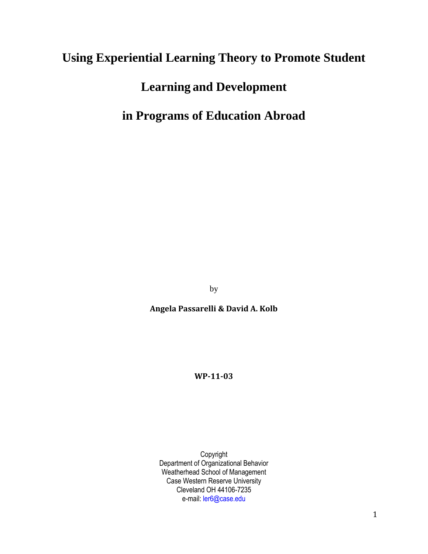# **Using Experiential Learning Theory to Promote Student**

**Learning and Development** 

**in Programs of Education Abroad**

by

**Angela Passarelli & David A. Kolb**

**WP-11-03**

Copyright Department of Organizational Behavior Weatherhead School of Management Case Western Reserve University Cleveland OH 44106-7235 e-mail: ler6@case.edu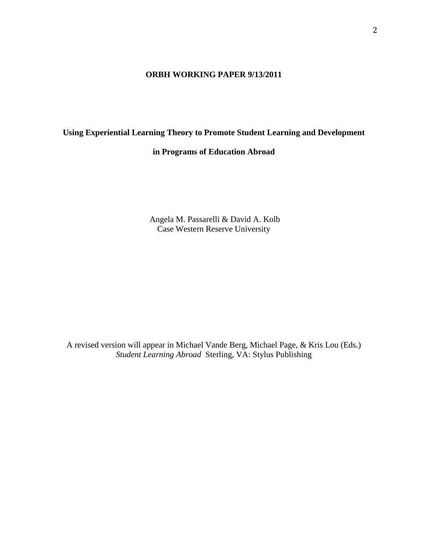### **ORBH WORKING PAPER 9/13/2011**

# **Using Experiential Learning Theory to Promote Student Learning and Development**

## **in Programs of Education Abroad**

Angela M. Passarelli & David A. Kolb Case Western Reserve University

A revised version will appear in Michael Vande Berg, Michael Page, & Kris Lou (Eds.) *Student Learning Abroad* Sterling, VA: Stylus Publishing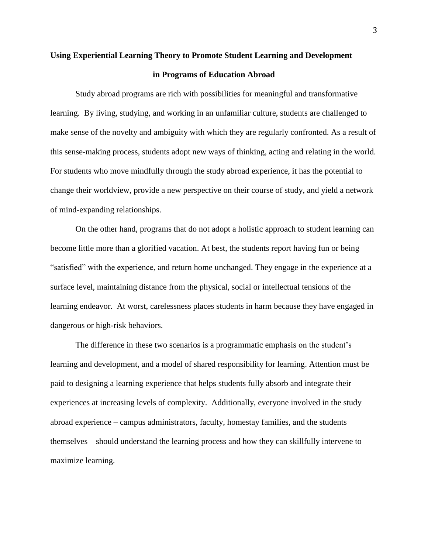# **Using Experiential Learning Theory to Promote Student Learning and Development in Programs of Education Abroad**

Study abroad programs are rich with possibilities for meaningful and transformative learning. By living, studying, and working in an unfamiliar culture, students are challenged to make sense of the novelty and ambiguity with which they are regularly confronted. As a result of this sense-making process, students adopt new ways of thinking, acting and relating in the world. For students who move mindfully through the study abroad experience, it has the potential to change their worldview, provide a new perspective on their course of study, and yield a network of mind-expanding relationships.

On the other hand, programs that do not adopt a holistic approach to student learning can become little more than a glorified vacation. At best, the students report having fun or being "satisfied" with the experience, and return home unchanged. They engage in the experience at a surface level, maintaining distance from the physical, social or intellectual tensions of the learning endeavor. At worst, carelessness places students in harm because they have engaged in dangerous or high-risk behaviors.

The difference in these two scenarios is a programmatic emphasis on the student's learning and development, and a model of shared responsibility for learning. Attention must be paid to designing a learning experience that helps students fully absorb and integrate their experiences at increasing levels of complexity. Additionally, everyone involved in the study abroad experience – campus administrators, faculty, homestay families, and the students themselves – should understand the learning process and how they can skillfully intervene to maximize learning.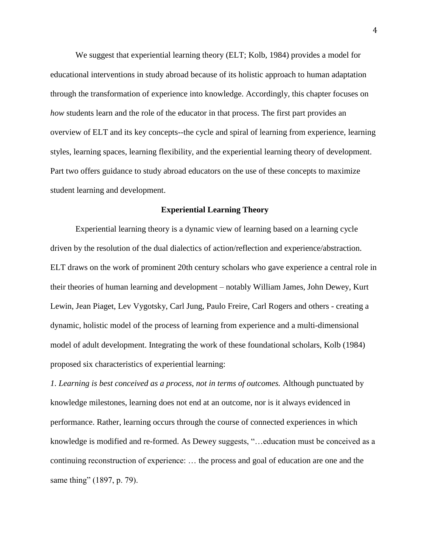We suggest that experiential learning theory (ELT; Kolb, 1984) provides a model for educational interventions in study abroad because of its holistic approach to human adaptation through the transformation of experience into knowledge. Accordingly, this chapter focuses on *how* students learn and the role of the educator in that process. The first part provides an overview of ELT and its key concepts--the cycle and spiral of learning from experience, learning styles, learning spaces, learning flexibility, and the experiential learning theory of development. Part two offers guidance to study abroad educators on the use of these concepts to maximize student learning and development.

#### **Experiential Learning Theory**

Experiential learning theory is a dynamic view of learning based on a learning cycle driven by the resolution of the dual dialectics of action/reflection and experience/abstraction. ELT draws on the work of prominent 20th century scholars who gave experience a central role in their theories of human learning and development – notably William James, John Dewey, Kurt Lewin, Jean Piaget, Lev Vygotsky, Carl Jung, Paulo Freire, Carl Rogers and others - creating a dynamic, holistic model of the process of learning from experience and a multi-dimensional model of adult development. Integrating the work of these foundational scholars, Kolb (1984) proposed six characteristics of experiential learning:

*1. Learning is best conceived as a process, not in terms of outcomes.* Although punctuated by knowledge milestones, learning does not end at an outcome, nor is it always evidenced in performance. Rather, learning occurs through the course of connected experiences in which knowledge is modified and re-formed. As Dewey suggests, "…education must be conceived as a continuing reconstruction of experience: … the process and goal of education are one and the same thing" (1897, p. 79).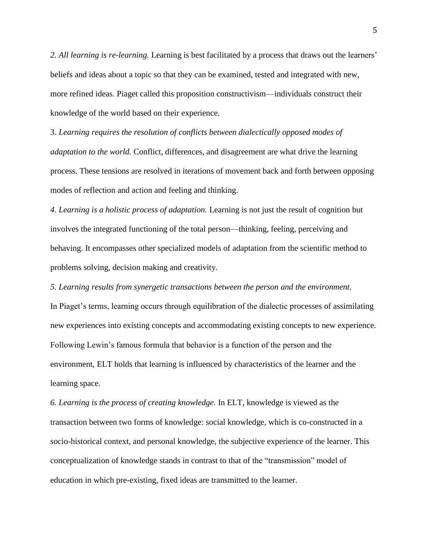*2. All learning is re-learning.* Learning is best facilitated by a process that draws out the learners' beliefs and ideas about a topic so that they can be examined, tested and integrated with new, more refined ideas. Piaget called this proposition constructivism—individuals construct their knowledge of the world based on their experience.

3. *Learning requires the resolution of conflicts between dialectically opposed modes of adaptation to the world.* Conflict, differences, and disagreement are what drive the learning process. These tensions are resolved in iterations of movement back and forth between opposing modes of reflection and action and feeling and thinking.

*4. Learning is a holistic process of adaptation.* Learning is not just the result of cognition but involves the integrated functioning of the total person—thinking, feeling, perceiving and behaving. It encompasses other specialized models of adaptation from the scientific method to problems solving, decision making and creativity.

*5. Learning results from synergetic transactions between the person and the environment.*

In Piaget's terms, learning occurs through equilibration of the dialectic processes of assimilating new experiences into existing concepts and accommodating existing concepts to new experience. Following Lewin's famous formula that behavior is a function of the person and the environment, ELT holds that learning is influenced by characteristics of the learner and the learning space.

*6. Learning is the process of creating knowledge.* In ELT, knowledge is viewed as the transaction between two forms of knowledge: social knowledge, which is co-constructed in a socio-historical context, and personal knowledge, the subjective experience of the learner. This conceptualization of knowledge stands in contrast to that of the "transmission" model of education in which pre-existing, fixed ideas are transmitted to the learner.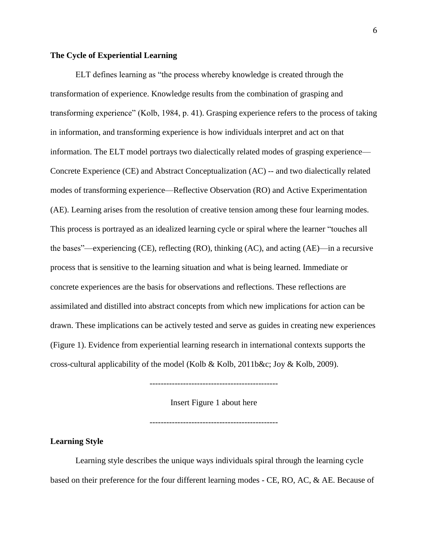#### **The Cycle of Experiential Learning**

ELT defines learning as "the process whereby knowledge is created through the transformation of experience. Knowledge results from the combination of grasping and transforming experience" (Kolb, 1984, p. 41). Grasping experience refers to the process of taking in information, and transforming experience is how individuals interpret and act on that information. The ELT model portrays two dialectically related modes of grasping experience— Concrete Experience (CE) and Abstract Conceptualization (AC) -- and two dialectically related modes of transforming experience—Reflective Observation (RO) and Active Experimentation (AE). Learning arises from the resolution of creative tension among these four learning modes. This process is portrayed as an idealized learning cycle or spiral where the learner "touches all the bases"—experiencing (CE), reflecting (RO), thinking (AC), and acting (AE)—in a recursive process that is sensitive to the learning situation and what is being learned. Immediate or concrete experiences are the basis for observations and reflections. These reflections are assimilated and distilled into abstract concepts from which new implications for action can be drawn. These implications can be actively tested and serve as guides in creating new experiences (Figure 1). Evidence from experiential learning research in international contexts supports the cross-cultural applicability of the model (Kolb & Kolb, 2011b&c; Joy & Kolb, 2009).

----------------------------------------------

Insert Figure 1 about here

#### **Learning Style**

Learning style describes the unique ways individuals spiral through the learning cycle based on their preference for the four different learning modes - CE, RO, AC, & AE. Because of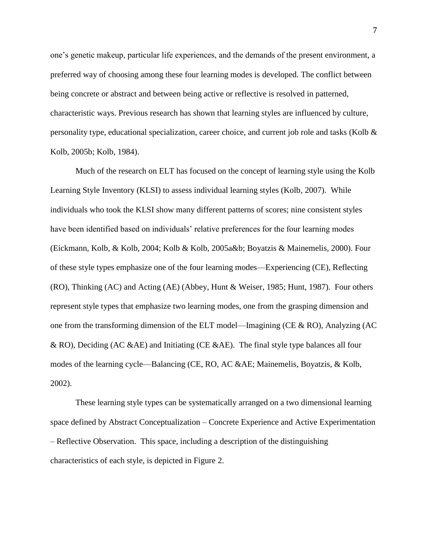one's genetic makeup, particular life experiences, and the demands of the present environment, a preferred way of choosing among these four learning modes is developed. The conflict between being concrete or abstract and between being active or reflective is resolved in patterned, characteristic ways. Previous research has shown that learning styles are influenced by culture, personality type, educational specialization, career choice, and current job role and tasks (Kolb & Kolb, 2005b; Kolb, 1984).

Much of the research on ELT has focused on the concept of learning style using the Kolb Learning Style Inventory (KLSI) to assess individual learning styles (Kolb, 2007). While individuals who took the KLSI show many different patterns of scores; nine consistent styles have been identified based on individuals' relative preferences for the four learning modes (Eickmann, Kolb, & Kolb, 2004; Kolb & Kolb, 2005a&b; Boyatzis & Mainemelis, 2000). Four of these style types emphasize one of the four learning modes—Experiencing (CE), Reflecting (RO), Thinking (AC) and Acting (AE) (Abbey, Hunt & Weiser, 1985; Hunt, 1987). Four others represent style types that emphasize two learning modes, one from the grasping dimension and one from the transforming dimension of the ELT model—Imagining (CE & RO), Analyzing (AC & RO), Deciding (AC &AE) and Initiating (CE &AE). The final style type balances all four modes of the learning cycle—Balancing (CE, RO, AC &AE; Mainemelis, Boyatzis, & Kolb, 2002).

These learning style types can be systematically arranged on a two dimensional learning space defined by Abstract Conceptualization – Concrete Experience and Active Experimentation – Reflective Observation. This space, including a description of the distinguishing characteristics of each style, is depicted in Figure 2.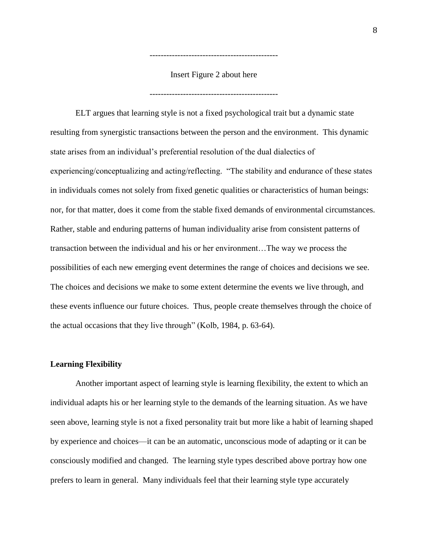Insert Figure 2 about here

----------------------------------------------

----------------------------------------------

ELT argues that learning style is not a fixed psychological trait but a dynamic state resulting from synergistic transactions between the person and the environment. This dynamic state arises from an individual's preferential resolution of the dual dialectics of experiencing/conceptualizing and acting/reflecting. "The stability and endurance of these states in individuals comes not solely from fixed genetic qualities or characteristics of human beings: nor, for that matter, does it come from the stable fixed demands of environmental circumstances. Rather, stable and enduring patterns of human individuality arise from consistent patterns of transaction between the individual and his or her environment…The way we process the possibilities of each new emerging event determines the range of choices and decisions we see. The choices and decisions we make to some extent determine the events we live through, and these events influence our future choices. Thus, people create themselves through the choice of the actual occasions that they live through" (Kolb, 1984, p. 63-64).

#### **Learning Flexibility**

Another important aspect of learning style is learning flexibility, the extent to which an individual adapts his or her learning style to the demands of the learning situation. As we have seen above, learning style is not a fixed personality trait but more like a habit of learning shaped by experience and choices—it can be an automatic, unconscious mode of adapting or it can be consciously modified and changed. The learning style types described above portray how one prefers to learn in general. Many individuals feel that their learning style type accurately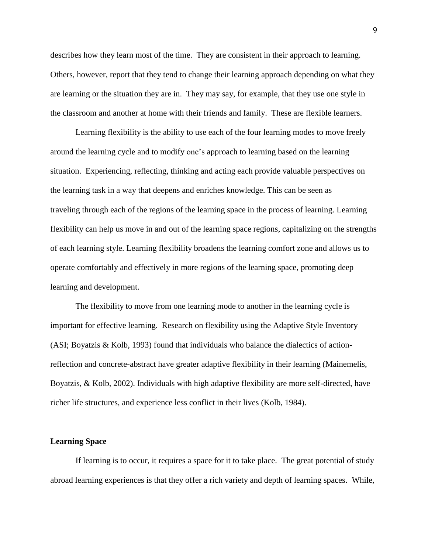describes how they learn most of the time. They are consistent in their approach to learning. Others, however, report that they tend to change their learning approach depending on what they are learning or the situation they are in. They may say, for example, that they use one style in the classroom and another at home with their friends and family. These are flexible learners.

Learning flexibility is the ability to use each of the four learning modes to move freely around the learning cycle and to modify one's approach to learning based on the learning situation. Experiencing, reflecting, thinking and acting each provide valuable perspectives on the learning task in a way that deepens and enriches knowledge. This can be seen as traveling through each of the regions of the learning space in the process of learning. Learning flexibility can help us move in and out of the learning space regions, capitalizing on the strengths of each learning style. Learning flexibility broadens the learning comfort zone and allows us to operate comfortably and effectively in more regions of the learning space, promoting deep learning and development.

The flexibility to move from one learning mode to another in the learning cycle is important for effective learning. Research on flexibility using the Adaptive Style Inventory (ASI; Boyatzis  $&$  Kolb, 1993) found that individuals who balance the dialectics of actionreflection and concrete-abstract have greater adaptive flexibility in their learning (Mainemelis, Boyatzis, & Kolb, 2002). Individuals with high adaptive flexibility are more self-directed, have richer life structures, and experience less conflict in their lives (Kolb, 1984).

#### **Learning Space**

If learning is to occur, it requires a space for it to take place. The great potential of study abroad learning experiences is that they offer a rich variety and depth of learning spaces. While,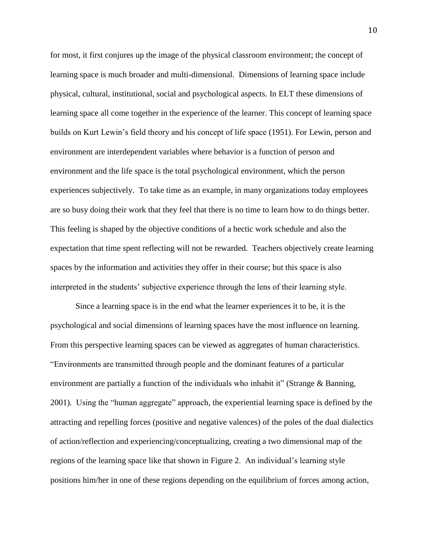for most, it first conjures up the image of the physical classroom environment; the concept of learning space is much broader and multi-dimensional. Dimensions of learning space include physical, cultural, institutional, social and psychological aspects. In ELT these dimensions of learning space all come together in the experience of the learner. This concept of learning space builds on Kurt Lewin's field theory and his concept of life space (1951). For Lewin, person and environment are interdependent variables where behavior is a function of person and environment and the life space is the total psychological environment, which the person experiences subjectively. To take time as an example, in many organizations today employees are so busy doing their work that they feel that there is no time to learn how to do things better. This feeling is shaped by the objective conditions of a hectic work schedule and also the expectation that time spent reflecting will not be rewarded. Teachers objectively create learning spaces by the information and activities they offer in their course; but this space is also interpreted in the students' subjective experience through the lens of their learning style.

Since a learning space is in the end what the learner experiences it to be, it is the psychological and social dimensions of learning spaces have the most influence on learning. From this perspective learning spaces can be viewed as aggregates of human characteristics. "Environments are transmitted through people and the dominant features of a particular environment are partially a function of the individuals who inhabit it" (Strange & Banning, 2001)*.* Using the "human aggregate" approach, the experiential learning space is defined by the attracting and repelling forces (positive and negative valences) of the poles of the dual dialectics of action/reflection and experiencing/conceptualizing, creating a two dimensional map of the regions of the learning space like that shown in Figure 2. An individual's learning style positions him/her in one of these regions depending on the equilibrium of forces among action,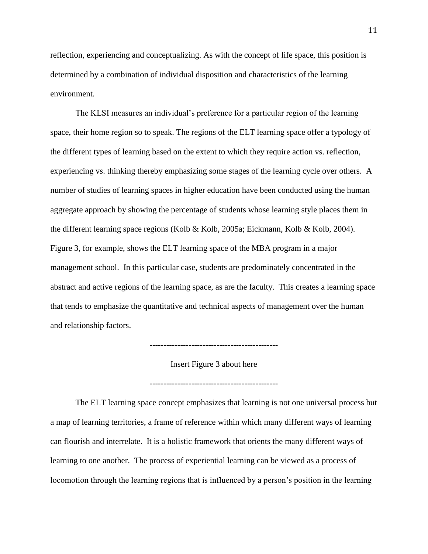reflection, experiencing and conceptualizing. As with the concept of life space, this position is determined by a combination of individual disposition and characteristics of the learning environment.

The KLSI measures an individual's preference for a particular region of the learning space, their home region so to speak. The regions of the ELT learning space offer a typology of the different types of learning based on the extent to which they require action vs. reflection, experiencing vs. thinking thereby emphasizing some stages of the learning cycle over others. A number of studies of learning spaces in higher education have been conducted using the human aggregate approach by showing the percentage of students whose learning style places them in the different learning space regions (Kolb & Kolb, 2005a; Eickmann, Kolb & Kolb, 2004). Figure 3, for example, shows the ELT learning space of the MBA program in a major management school. In this particular case, students are predominately concentrated in the abstract and active regions of the learning space, as are the faculty. This creates a learning space that tends to emphasize the quantitative and technical aspects of management over the human and relationship factors.

----------------------------------------------

Insert Figure 3 about here

----------------------------------------------

The ELT learning space concept emphasizes that learning is not one universal process but a map of learning territories, a frame of reference within which many different ways of learning can flourish and interrelate. It is a holistic framework that orients the many different ways of learning to one another. The process of experiential learning can be viewed as a process of locomotion through the learning regions that is influenced by a person's position in the learning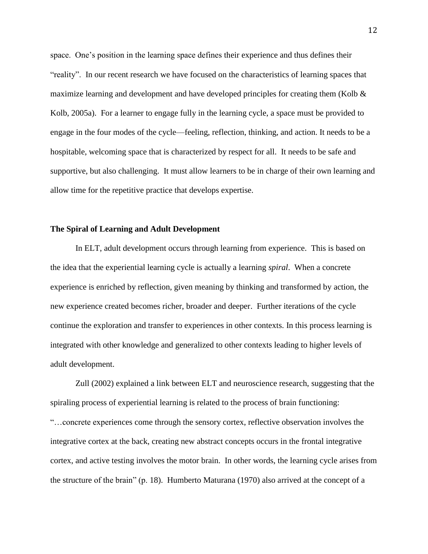space. One's position in the learning space defines their experience and thus defines their "reality". In our recent research we have focused on the characteristics of learning spaces that maximize learning and development and have developed principles for creating them (Kolb  $\&$ Kolb, 2005a). For a learner to engage fully in the learning cycle, a space must be provided to engage in the four modes of the cycle—feeling, reflection, thinking, and action. It needs to be a hospitable, welcoming space that is characterized by respect for all. It needs to be safe and supportive, but also challenging. It must allow learners to be in charge of their own learning and allow time for the repetitive practice that develops expertise.

#### **The Spiral of Learning and Adult Development**

In ELT, adult development occurs through learning from experience. This is based on the idea that the experiential learning cycle is actually a learning *spiral*. When a concrete experience is enriched by reflection, given meaning by thinking and transformed by action, the new experience created becomes richer, broader and deeper. Further iterations of the cycle continue the exploration and transfer to experiences in other contexts. In this process learning is integrated with other knowledge and generalized to other contexts leading to higher levels of adult development.

Zull (2002) explained a link between ELT and neuroscience research, suggesting that the spiraling process of experiential learning is related to the process of brain functioning: "…concrete experiences come through the sensory cortex, reflective observation involves the integrative cortex at the back, creating new abstract concepts occurs in the frontal integrative cortex, and active testing involves the motor brain. In other words, the learning cycle arises from the structure of the brain" (p. 18). Humberto Maturana (1970) also arrived at the concept of a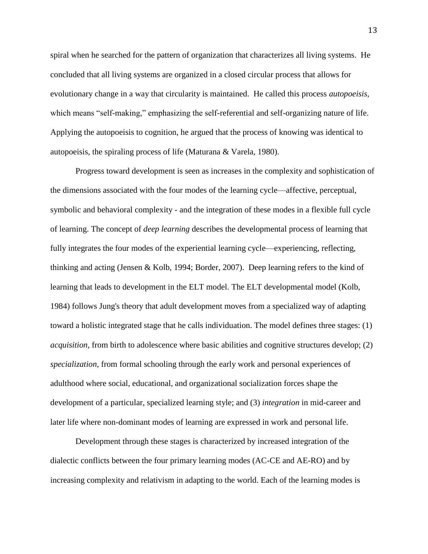spiral when he searched for the pattern of organization that characterizes all living systems. He concluded that all living systems are organized in a closed circular process that allows for evolutionary change in a way that circularity is maintained. He called this process *autopoeisis,* which means "self-making," emphasizing the self-referential and self-organizing nature of life. Applying the autopoeisis to cognition, he argued that the process of knowing was identical to autopoeisis, the spiraling process of life (Maturana & Varela, 1980).

Progress toward development is seen as increases in the complexity and sophistication of the dimensions associated with the four modes of the learning cycle—affective, perceptual, symbolic and behavioral complexity - and the integration of these modes in a flexible full cycle of learning. The concept of *deep learning* describes the developmental process of learning that fully integrates the four modes of the experiential learning cycle—experiencing, reflecting, thinking and acting (Jensen & Kolb, 1994; Border, 2007). Deep learning refers to the kind of learning that leads to development in the ELT model. The ELT developmental model (Kolb, 1984) follows Jung's theory that adult development moves from a specialized way of adapting toward a holistic integrated stage that he calls individuation. The model defines three stages: (1) *acquisition,* from birth to adolescence where basic abilities and cognitive structures develop; (2) *specialization,* from formal schooling through the early work and personal experiences of adulthood where social, educational, and organizational socialization forces shape the development of a particular, specialized learning style; and (3) *integration* in mid-career and later life where non-dominant modes of learning are expressed in work and personal life.

Development through these stages is characterized by increased integration of the dialectic conflicts between the four primary learning modes (AC-CE and AE-RO) and by increasing complexity and relativism in adapting to the world. Each of the learning modes is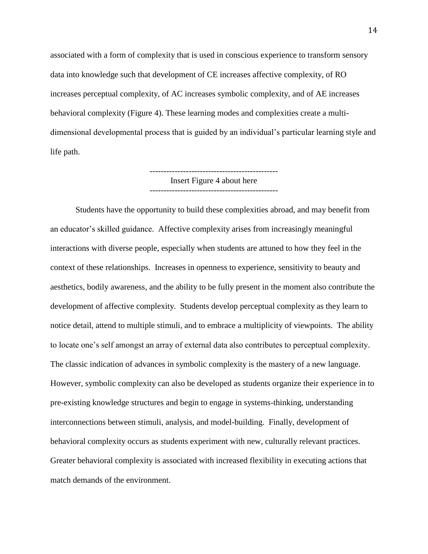associated with a form of complexity that is used in conscious experience to transform sensory data into knowledge such that development of CE increases affective complexity, of RO increases perceptual complexity, of AC increases symbolic complexity, and of AE increases behavioral complexity (Figure 4). These learning modes and complexities create a multidimensional developmental process that is guided by an individual's particular learning style and life path.

> ---------------------------------------------- Insert Figure 4 about here ----------------------------------------------

Students have the opportunity to build these complexities abroad, and may benefit from an educator's skilled guidance. Affective complexity arises from increasingly meaningful interactions with diverse people, especially when students are attuned to how they feel in the context of these relationships. Increases in openness to experience, sensitivity to beauty and aesthetics, bodily awareness, and the ability to be fully present in the moment also contribute the development of affective complexity. Students develop perceptual complexity as they learn to notice detail, attend to multiple stimuli, and to embrace a multiplicity of viewpoints. The ability to locate one's self amongst an array of external data also contributes to perceptual complexity. The classic indication of advances in symbolic complexity is the mastery of a new language. However, symbolic complexity can also be developed as students organize their experience in to pre-existing knowledge structures and begin to engage in systems-thinking, understanding interconnections between stimuli, analysis, and model-building. Finally, development of behavioral complexity occurs as students experiment with new, culturally relevant practices. Greater behavioral complexity is associated with increased flexibility in executing actions that match demands of the environment.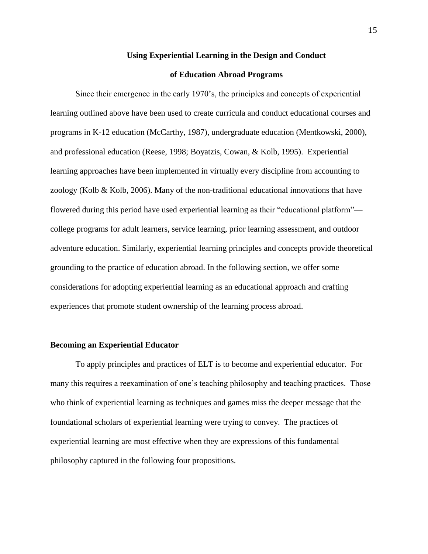#### **Using Experiential Learning in the Design and Conduct**

#### **of Education Abroad Programs**

Since their emergence in the early 1970's, the principles and concepts of experiential learning outlined above have been used to create curricula and conduct educational courses and programs in K-12 education (McCarthy, 1987), undergraduate education (Mentkowski, 2000), and professional education (Reese, 1998; Boyatzis, Cowan, & Kolb, 1995). Experiential learning approaches have been implemented in virtually every discipline from accounting to zoology (Kolb & Kolb, 2006). Many of the non-traditional educational innovations that have flowered during this period have used experiential learning as their "educational platform" college programs for adult learners, service learning, prior learning assessment, and outdoor adventure education. Similarly, experiential learning principles and concepts provide theoretical grounding to the practice of education abroad. In the following section, we offer some considerations for adopting experiential learning as an educational approach and crafting experiences that promote student ownership of the learning process abroad.

#### **Becoming an Experiential Educator**

To apply principles and practices of ELT is to become and experiential educator. For many this requires a reexamination of one's teaching philosophy and teaching practices. Those who think of experiential learning as techniques and games miss the deeper message that the foundational scholars of experiential learning were trying to convey. The practices of experiential learning are most effective when they are expressions of this fundamental philosophy captured in the following four propositions.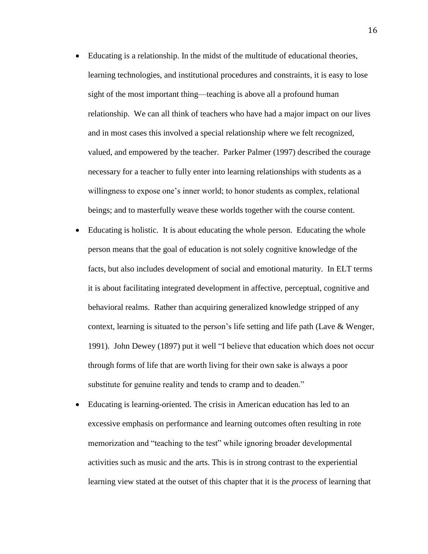- Educating is a relationship. In the midst of the multitude of educational theories, learning technologies, and institutional procedures and constraints, it is easy to lose sight of the most important thing—teaching is above all a profound human relationship. We can all think of teachers who have had a major impact on our lives and in most cases this involved a special relationship where we felt recognized, valued, and empowered by the teacher. Parker Palmer (1997) described the courage necessary for a teacher to fully enter into learning relationships with students as a willingness to expose one's inner world; to honor students as complex, relational beings; and to masterfully weave these worlds together with the course content.
- Educating is holistic. It is about educating the whole person. Educating the whole person means that the goal of education is not solely cognitive knowledge of the facts, but also includes development of social and emotional maturity. In ELT terms it is about facilitating integrated development in affective, perceptual, cognitive and behavioral realms. Rather than acquiring generalized knowledge stripped of any context, learning is situated to the person's life setting and life path (Lave & Wenger, 1991). John Dewey (1897) put it well "I believe that education which does not occur through forms of life that are worth living for their own sake is always a poor substitute for genuine reality and tends to cramp and to deaden."
- Educating is learning-oriented. The crisis in American education has led to an excessive emphasis on performance and learning outcomes often resulting in rote memorization and "teaching to the test" while ignoring broader developmental activities such as music and the arts. This is in strong contrast to the experiential learning view stated at the outset of this chapter that it is the *process* of learning that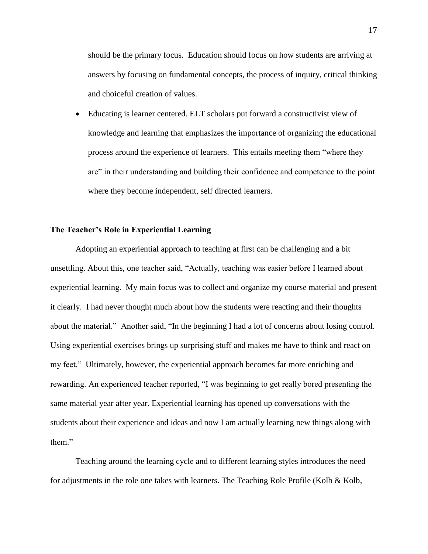should be the primary focus. Education should focus on how students are arriving at answers by focusing on fundamental concepts, the process of inquiry, critical thinking and choiceful creation of values.

 Educating is learner centered. ELT scholars put forward a constructivist view of knowledge and learning that emphasizes the importance of organizing the educational process around the experience of learners. This entails meeting them "where they are" in their understanding and building their confidence and competence to the point where they become independent, self directed learners.

#### **The Teacher's Role in Experiential Learning**

Adopting an experiential approach to teaching at first can be challenging and a bit unsettling. About this, one teacher said, "Actually, teaching was easier before I learned about experiential learning. My main focus was to collect and organize my course material and present it clearly. I had never thought much about how the students were reacting and their thoughts about the material." Another said, "In the beginning I had a lot of concerns about losing control. Using experiential exercises brings up surprising stuff and makes me have to think and react on my feet." Ultimately, however, the experiential approach becomes far more enriching and rewarding. An experienced teacher reported, "I was beginning to get really bored presenting the same material year after year. Experiential learning has opened up conversations with the students about their experience and ideas and now I am actually learning new things along with them."

Teaching around the learning cycle and to different learning styles introduces the need for adjustments in the role one takes with learners. The Teaching Role Profile (Kolb & Kolb,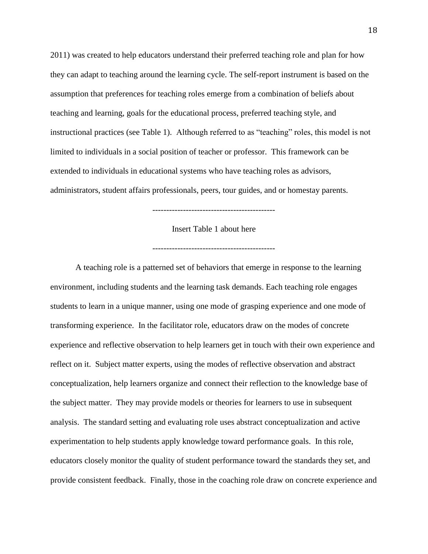2011) was created to help educators understand their preferred teaching role and plan for how they can adapt to teaching around the learning cycle. The self-report instrument is based on the assumption that preferences for teaching roles emerge from a combination of beliefs about teaching and learning, goals for the educational process, preferred teaching style, and instructional practices (see Table 1). Although referred to as "teaching" roles, this model is not limited to individuals in a social position of teacher or professor. This framework can be extended to individuals in educational systems who have teaching roles as advisors, administrators, student affairs professionals, peers, tour guides, and or homestay parents.

--------------------------------------------

Insert Table 1 about here

--------------------------------------------

A teaching role is a patterned set of behaviors that emerge in response to the learning environment, including students and the learning task demands. Each teaching role engages students to learn in a unique manner, using one mode of grasping experience and one mode of transforming experience. In the facilitator role, educators draw on the modes of concrete experience and reflective observation to help learners get in touch with their own experience and reflect on it. Subject matter experts, using the modes of reflective observation and abstract conceptualization, help learners organize and connect their reflection to the knowledge base of the subject matter. They may provide models or theories for learners to use in subsequent analysis. The standard setting and evaluating role uses abstract conceptualization and active experimentation to help students apply knowledge toward performance goals. In this role, educators closely monitor the quality of student performance toward the standards they set, and provide consistent feedback. Finally, those in the coaching role draw on concrete experience and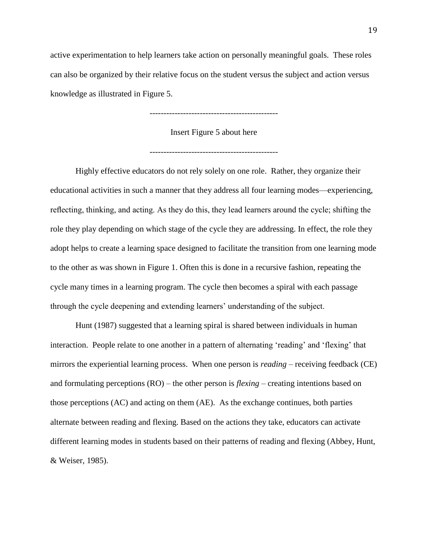active experimentation to help learners take action on personally meaningful goals. These roles can also be organized by their relative focus on the student versus the subject and action versus knowledge as illustrated in Figure 5.

----------------------------------------------

Insert Figure 5 about here

----------------------------------------------

Highly effective educators do not rely solely on one role. Rather, they organize their educational activities in such a manner that they address all four learning modes—experiencing, reflecting, thinking, and acting. As they do this, they lead learners around the cycle; shifting the role they play depending on which stage of the cycle they are addressing. In effect, the role they adopt helps to create a learning space designed to facilitate the transition from one learning mode to the other as was shown in Figure 1. Often this is done in a recursive fashion, repeating the cycle many times in a learning program. The cycle then becomes a spiral with each passage through the cycle deepening and extending learners' understanding of the subject.

Hunt (1987) suggested that a learning spiral is shared between individuals in human interaction. People relate to one another in a pattern of alternating 'reading' and 'flexing' that mirrors the experiential learning process. When one person is *reading* – receiving feedback (CE) and formulating perceptions (RO) – the other person is *flexing* – creating intentions based on those perceptions (AC) and acting on them (AE). As the exchange continues, both parties alternate between reading and flexing. Based on the actions they take, educators can activate different learning modes in students based on their patterns of reading and flexing (Abbey, Hunt, & Weiser, 1985).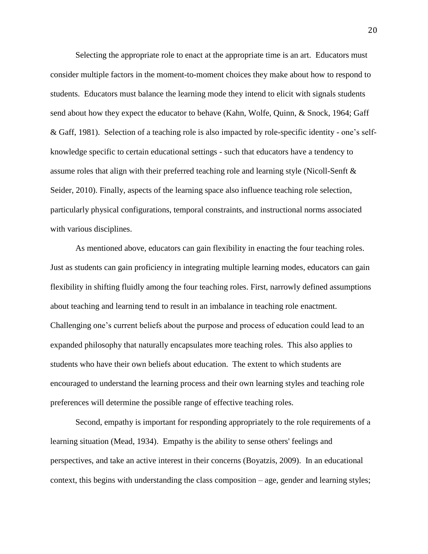Selecting the appropriate role to enact at the appropriate time is an art. Educators must consider multiple factors in the moment-to-moment choices they make about how to respond to students. Educators must balance the learning mode they intend to elicit with signals students send about how they expect the educator to behave (Kahn, Wolfe, Quinn, & Snock, 1964; Gaff & Gaff, 1981). Selection of a teaching role is also impacted by role-specific identity - one's selfknowledge specific to certain educational settings - such that educators have a tendency to assume roles that align with their preferred teaching role and learning style (Nicoll-Senft & Seider, 2010). Finally, aspects of the learning space also influence teaching role selection, particularly physical configurations, temporal constraints, and instructional norms associated with various disciplines.

As mentioned above, educators can gain flexibility in enacting the four teaching roles. Just as students can gain proficiency in integrating multiple learning modes, educators can gain flexibility in shifting fluidly among the four teaching roles. First, narrowly defined assumptions about teaching and learning tend to result in an imbalance in teaching role enactment. Challenging one's current beliefs about the purpose and process of education could lead to an expanded philosophy that naturally encapsulates more teaching roles. This also applies to students who have their own beliefs about education. The extent to which students are encouraged to understand the learning process and their own learning styles and teaching role preferences will determine the possible range of effective teaching roles.

Second, empathy is important for responding appropriately to the role requirements of a learning situation (Mead, 1934). Empathy is the ability to sense others' feelings and perspectives, and take an active interest in their concerns (Boyatzis, 2009). In an educational context, this begins with understanding the class composition – age, gender and learning styles;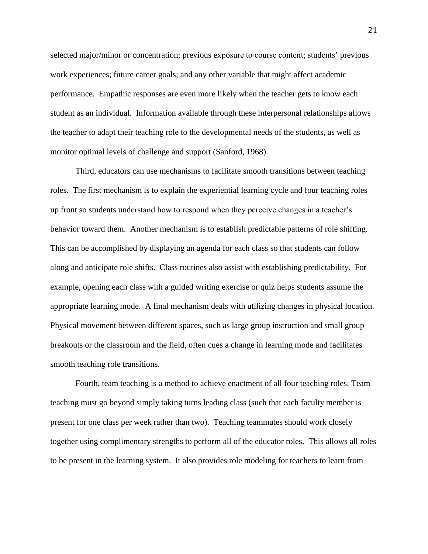selected major/minor or concentration; previous exposure to course content; students' previous work experiences; future career goals; and any other variable that might affect academic performance. Empathic responses are even more likely when the teacher gets to know each student as an individual. Information available through these interpersonal relationships allows the teacher to adapt their teaching role to the developmental needs of the students, as well as monitor optimal levels of challenge and support (Sanford, 1968).

Third, educators can use mechanisms to facilitate smooth transitions between teaching roles. The first mechanism is to explain the experiential learning cycle and four teaching roles up front so students understand how to respond when they perceive changes in a teacher's behavior toward them. Another mechanism is to establish predictable patterns of role shifting. This can be accomplished by displaying an agenda for each class so that students can follow along and anticipate role shifts. Class routines also assist with establishing predictability. For example, opening each class with a guided writing exercise or quiz helps students assume the appropriate learning mode. A final mechanism deals with utilizing changes in physical location. Physical movement between different spaces, such as large group instruction and small group breakouts or the classroom and the field, often cues a change in learning mode and facilitates smooth teaching role transitions.

Fourth, team teaching is a method to achieve enactment of all four teaching roles. Team teaching must go beyond simply taking turns leading class (such that each faculty member is present for one class per week rather than two). Teaching teammates should work closely together using complimentary strengths to perform all of the educator roles. This allows all roles to be present in the learning system. It also provides role modeling for teachers to learn from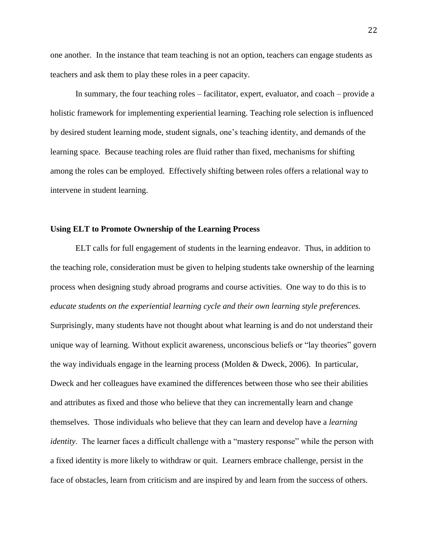one another. In the instance that team teaching is not an option, teachers can engage students as teachers and ask them to play these roles in a peer capacity.

In summary, the four teaching roles – facilitator, expert, evaluator, and coach – provide a holistic framework for implementing experiential learning. Teaching role selection is influenced by desired student learning mode, student signals, one's teaching identity, and demands of the learning space. Because teaching roles are fluid rather than fixed, mechanisms for shifting among the roles can be employed. Effectively shifting between roles offers a relational way to intervene in student learning.

#### **Using ELT to Promote Ownership of the Learning Process**

ELT calls for full engagement of students in the learning endeavor. Thus, in addition to the teaching role, consideration must be given to helping students take ownership of the learning process when designing study abroad programs and course activities. One way to do this is to *educate students on the experiential learning cycle and their own learning style preferences.* Surprisingly, many students have not thought about what learning is and do not understand their unique way of learning. Without explicit awareness, unconscious beliefs or "lay theories" govern the way individuals engage in the learning process (Molden & Dweck, 2006). In particular, Dweck and her colleagues have examined the differences between those who see their abilities and attributes as fixed and those who believe that they can incrementally learn and change themselves. Those individuals who believe that they can learn and develop have a *learning identity*. The learner faces a difficult challenge with a "mastery response" while the person with a fixed identity is more likely to withdraw or quit. Learners embrace challenge, persist in the face of obstacles, learn from criticism and are inspired by and learn from the success of others.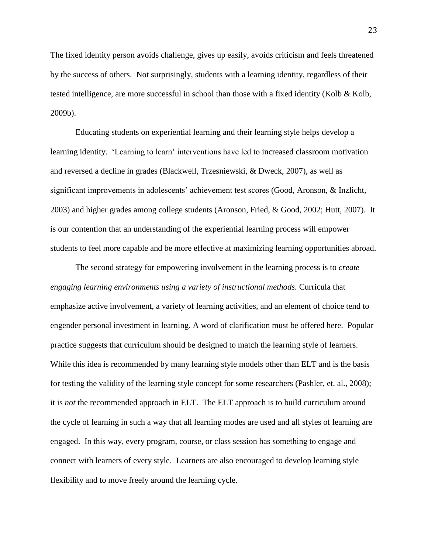The fixed identity person avoids challenge, gives up easily, avoids criticism and feels threatened by the success of others. Not surprisingly, students with a learning identity, regardless of their tested intelligence, are more successful in school than those with a fixed identity (Kolb & Kolb, 2009b).

Educating students on experiential learning and their learning style helps develop a learning identity. 'Learning to learn' interventions have led to increased classroom motivation and reversed a decline in grades (Blackwell, Trzesniewski, & Dweck, 2007), as well as significant improvements in adolescents' achievement test scores (Good, Aronson, & Inzlicht, 2003) and higher grades among college students (Aronson, Fried, & Good, 2002; Hutt, 2007). It is our contention that an understanding of the experiential learning process will empower students to feel more capable and be more effective at maximizing learning opportunities abroad.

The second strategy for empowering involvement in the learning process is to *create engaging learning environments using a variety of instructional methods.* Curricula that emphasize active involvement, a variety of learning activities, and an element of choice tend to engender personal investment in learning. A word of clarification must be offered here. Popular practice suggests that curriculum should be designed to match the learning style of learners. While this idea is recommended by many learning style models other than ELT and is the basis for testing the validity of the learning style concept for some researchers (Pashler, et. al., 2008); it is *not* the recommended approach in ELT. The ELT approach is to build curriculum around the cycle of learning in such a way that all learning modes are used and all styles of learning are engaged. In this way, every program, course, or class session has something to engage and connect with learners of every style. Learners are also encouraged to develop learning style flexibility and to move freely around the learning cycle.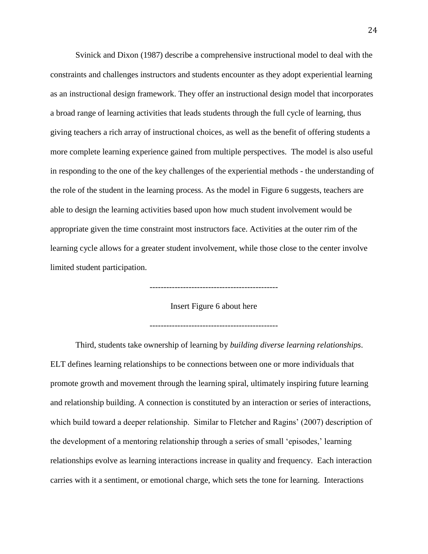Svinick and Dixon (1987) describe a comprehensive instructional model to deal with the constraints and challenges instructors and students encounter as they adopt experiential learning as an instructional design framework. They offer an instructional design model that incorporates a broad range of learning activities that leads students through the full cycle of learning, thus giving teachers a rich array of instructional choices, as well as the benefit of offering students a more complete learning experience gained from multiple perspectives. The model is also useful in responding to the one of the key challenges of the experiential methods - the understanding of the role of the student in the learning process. As the model in Figure 6 suggests, teachers are able to design the learning activities based upon how much student involvement would be appropriate given the time constraint most instructors face. Activities at the outer rim of the learning cycle allows for a greater student involvement, while those close to the center involve limited student participation.

----------------------------------------------

Insert Figure 6 about here

----------------------------------------------

Third, students take ownership of learning by *building diverse learning relationships*. ELT defines learning relationships to be connections between one or more individuals that promote growth and movement through the learning spiral, ultimately inspiring future learning and relationship building. A connection is constituted by an interaction or series of interactions, which build toward a deeper relationship. Similar to Fletcher and Ragins' (2007) description of the development of a mentoring relationship through a series of small 'episodes,' learning relationships evolve as learning interactions increase in quality and frequency. Each interaction carries with it a sentiment, or emotional charge, which sets the tone for learning. Interactions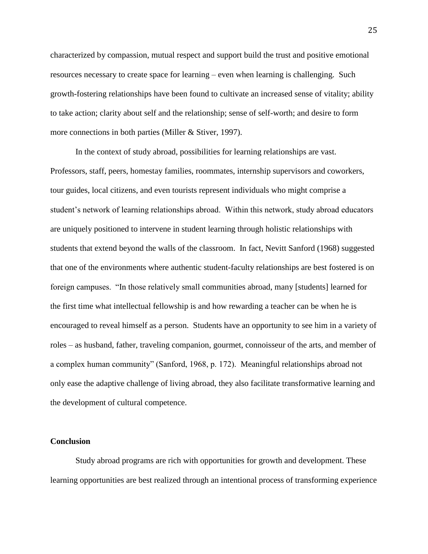characterized by compassion, mutual respect and support build the trust and positive emotional resources necessary to create space for learning – even when learning is challenging. Such growth-fostering relationships have been found to cultivate an increased sense of vitality; ability to take action; clarity about self and the relationship; sense of self-worth; and desire to form more connections in both parties (Miller & Stiver, 1997).

In the context of study abroad, possibilities for learning relationships are vast. Professors, staff, peers, homestay families, roommates, internship supervisors and coworkers, tour guides, local citizens, and even tourists represent individuals who might comprise a student's network of learning relationships abroad. Within this network, study abroad educators are uniquely positioned to intervene in student learning through holistic relationships with students that extend beyond the walls of the classroom. In fact, Nevitt Sanford (1968) suggested that one of the environments where authentic student-faculty relationships are best fostered is on foreign campuses. "In those relatively small communities abroad, many [students] learned for the first time what intellectual fellowship is and how rewarding a teacher can be when he is encouraged to reveal himself as a person. Students have an opportunity to see him in a variety of roles – as husband, father, traveling companion, gourmet, connoisseur of the arts, and member of a complex human community" (Sanford, 1968, p. 172). Meaningful relationships abroad not only ease the adaptive challenge of living abroad, they also facilitate transformative learning and the development of cultural competence.

#### **Conclusion**

Study abroad programs are rich with opportunities for growth and development. These learning opportunities are best realized through an intentional process of transforming experience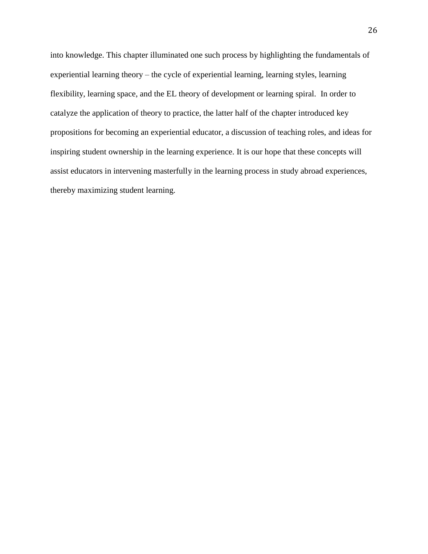into knowledge. This chapter illuminated one such process by highlighting the fundamentals of experiential learning theory – the cycle of experiential learning, learning styles, learning flexibility, learning space, and the EL theory of development or learning spiral. In order to catalyze the application of theory to practice, the latter half of the chapter introduced key propositions for becoming an experiential educator, a discussion of teaching roles, and ideas for inspiring student ownership in the learning experience. It is our hope that these concepts will assist educators in intervening masterfully in the learning process in study abroad experiences, thereby maximizing student learning.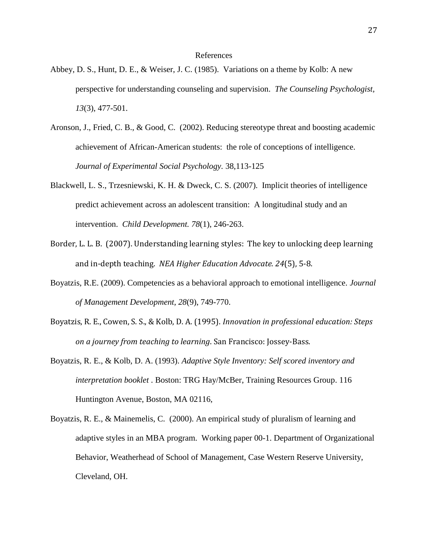#### References

- Abbey, D. S., Hunt, D. E., & Weiser, J. C. (1985). Variations on a theme by Kolb: A new perspective for understanding counseling and supervision. *The Counseling Psychologist, 13*(3), 477-501.
- Aronson, J., Fried, C. B., & Good, C. (2002). Reducing stereotype threat and boosting academic achievement of African-American students: the role of conceptions of intelligence. *Journal of Experimental Social Psychology.* 38,113-125
- Blackwell, L. S., Trzesniewski, K. H. & Dweck, C. S. (2007). Implicit theories of intelligence predict achievement across an adolescent transition: A longitudinal study and an intervention. *Child Development. 78*(1), 246-263.
- Border, L. L. B. (2007). Understanding learning styles: The key to unlocking deep learning and in-depth teaching. *NEA Higher Education Advocate. 24*(5), 5-8.
- Boyatzis, R.E. (2009). Competencies as a behavioral approach to emotional intelligence. *Journal of Management Development, 28*(9), 749-770.
- Boyatzis, R. E., Cowen, S. S., & Kolb, D. A. (1995). *Innovation in professional education: Steps on a journey from teaching to learning*. San Francisco: Jossey-Bass.
- Boyatzis, R. E., & Kolb, D. A. (1993). *Adaptive Style Inventory: Self scored inventory and interpretation booklet* . Boston: TRG Hay/McBer, Training Resources Group. 116 Huntington Avenue, Boston, MA 02116,
- Boyatzis, R. E., & Mainemelis, C. (2000). An empirical study of pluralism of learning and adaptive styles in an MBA program. Working paper 00-1. Department of Organizational Behavior, Weatherhead of School of Management, Case Western Reserve University, Cleveland, OH.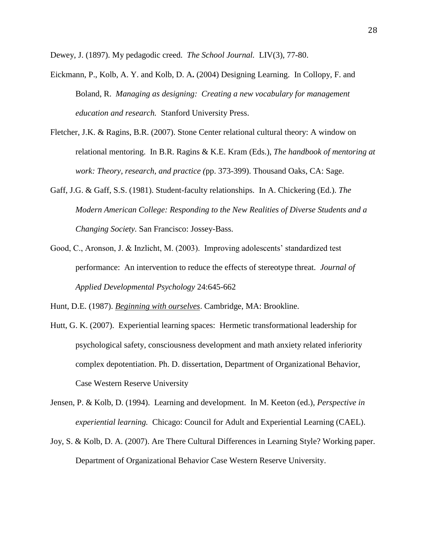Dewey, J. (1897). My pedagodic creed. *The School Journal.* LIV(3), 77-80.

- Eickmann, P., Kolb, A. Y. and Kolb, D. A**.** (2004) Designing Learning. In Collopy, F. and Boland, R. *Managing as designing: Creating a new vocabulary for management education and research.* Stanford University Press.
- Fletcher, J.K. & Ragins, B.R. (2007). Stone Center relational cultural theory: A window on relational mentoring. In B.R. Ragins & K.E. Kram (Eds.), *The handbook of mentoring at work: Theory, research, and practice (*pp. 373-399). Thousand Oaks, CA: Sage.
- Gaff, J.G. & Gaff, S.S. (1981). Student-faculty relationships. In A. Chickering (Ed.). *The Modern American College: Responding to the New Realities of Diverse Students and a Changing Society.* San Francisco: Jossey-Bass.
- Good, C., Aronson, J. & Inzlicht, M. (2003). Improving adolescents' standardized test performance: An intervention to reduce the effects of stereotype threat. *Journal of Applied Developmental Psychology* 24:645-662

Hunt, D.E. (1987). *Beginning with ourselves*. Cambridge, MA: Brookline.

- Hutt, G. K. (2007). Experiential learning spaces: Hermetic transformational leadership for psychological safety, consciousness development and math anxiety related inferiority complex depotentiation. Ph. D. dissertation, Department of Organizational Behavior, Case Western Reserve University
- Jensen, P. & Kolb, D. (1994). Learning and development. In M. Keeton (ed.), *Perspective in experiential learning.* Chicago: Council for Adult and Experiential Learning (CAEL).
- Joy, S. & Kolb, D. A. (2007). Are There Cultural Differences in Learning Style? Working paper. Department of Organizational Behavior Case Western Reserve University.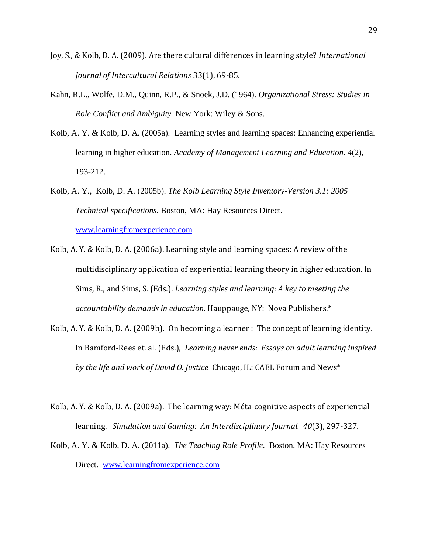- Joy, S., & Kolb, D. A. (2009). Are there cultural differences in learning style? *International Journal of Intercultural Relations* 33(1), 69-85.
- Kahn, R.L., Wolfe, D.M., Quinn, R.P., & Snoek, J.D. (1964). *Organizational Stress: Studies in Role Conflict and Ambiguity.* New York: Wiley & Sons.
- Kolb, A. Y. & Kolb, D. A. (2005a). Learning styles and learning spaces: Enhancing experiential learning in higher education. *Academy of Management Learning and Education. 4*(2), 193-212.
- Kolb, A. Y., Kolb, D. A. (2005b). *The Kolb Learning Style Inventory-Version 3.1: 2005 Technical specifications.* Boston, MA: Hay Resources Direct. [www.learningfromexperience.com](http://www.learningfromexperience.com/)
- Kolb, A. Y. & Kolb, D. A. (2006a). Learning style and learning spaces: A review of the multidisciplinary application of experiential learning theory in higher education. In Sims, R., and Sims, S. (Eds.). *Learning styles and learning: A key to meeting the accountability demands in education.* Hauppauge, NY: Nova Publishers.\*
- Kolb, A. Y. & Kolb, D. A. (2009b). On becoming a learner : The concept of learning identity. In Bamford-Rees et. al. (Eds.), *Learning never ends: Essays on adult learning inspired by the life and work of David O. Justice* Chicago, IL: CAEL Forum and News\*
- Kolb, A. Y. & Kolb, D. A. (2009a). The learning way: Méta-cognitive aspects of experiential learning. *Simulation and Gaming: An Interdisciplinary Journal. 40*(3), 297-327.
- Kolb, A. Y. & Kolb, D. A. (2011a). *The Teaching Role Profile.* Boston, MA: Hay Resources Direct. [www.learningfromexperience.com](http://www.learningfromexperience.com/)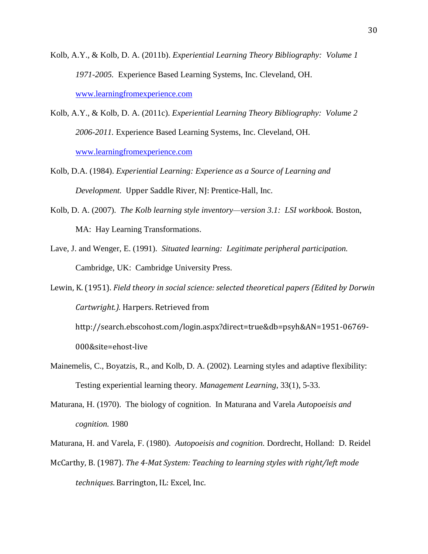Kolb, A.Y., & Kolb, D. A. (2011b). *Experiential Learning Theory Bibliography: Volume 1 1971-2005.* Experience Based Learning Systems, Inc. Cleveland, OH. [www.learningfromexperience.com](http://www.learningfromexperience.com/)

Kolb, A.Y., & Kolb, D. A. (2011c). *Experiential Learning Theory Bibliography: Volume 2 2006-2011.* Experience Based Learning Systems, Inc. Cleveland, OH. [www.learningfromexperience.com](http://www.learningfromexperience.com/)

- Kolb, D.A. (1984). *Experiential Learning: Experience as a Source of Learning and Development.* Upper Saddle River, NJ: Prentice-Hall, Inc.
- Kolb, D. A. (2007). *The Kolb learning style inventory—version 3.1: LSI workbook.* Boston, MA: Hay Learning Transformations.
- Lave, J. and Wenger, E. (1991). *Situated learning: Legitimate peripheral participation.*  Cambridge, UK: Cambridge University Press.

Lewin, K. (1951). *Field theory in social science: selected theoretical papers (Edited by Dorwin Cartwright.).* Harpers. Retrieved from http://search.ebscohost.com/login.aspx?direct=true&db=psyh&AN=1951-06769- 000&site=ehost-live

- Mainemelis, C., Boyatzis, R., and Kolb, D. A. (2002). Learning styles and adaptive flexibility: Testing experiential learning theory. *Management Learning*, 33(1), 5-33.
- Maturana, H. (1970). The biology of cognition. In Maturana and Varela *Autopoeisis and cognition.* 1980
- Maturana, H. and Varela, F. (1980). *Autopoeisis and cognition.* Dordrecht, Holland: D. Reidel
- McCarthy, B. (1987). *The 4-Mat System: Teaching to learning styles with right/left mode techniques*. Barrington, IL: Excel, Inc.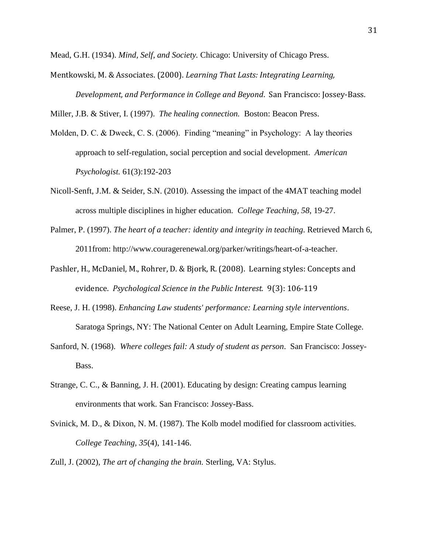Mead, G.H. (1934). *Mind, Self, and Society.* Chicago: University of Chicago Press.

Mentkowski, M. & Associates. (2000). *Learning That Lasts: Integrating Learning, Development, and Performance in College and Beyond*. San Francisco: Jossey-Bass.

Miller, J.B. & Stiver, I. (1997). *The healing connection.* Boston: Beacon Press.

- Molden, D. C. & Dweck, C. S. (2006). Finding "meaning" in Psychology: A lay theories approach to self-regulation, social perception and social development. *American Psychologist.* 61(3):192-203
- Nicoll-Senft, J.M. & Seider, S.N. (2010). Assessing the impact of the 4MAT teaching model across multiple disciplines in higher education. *College Teaching, 58*, 19-27.
- Palmer, P. (1997). *The heart of a teacher: identity and integrity in teaching*. Retrieved March 6, 2011from: http://www.couragerenewal.org/parker/writings/heart-of-a-teacher.
- Pashler, H., McDaniel, M., Rohrer, D. & Bjork, R. (2008). Learning styles: Concepts and evidence. *Psychological Science in the Public Interest.* 9(3): 106-119
- Reese, J. H. (1998). *Enhancing Law students' performance: Learning style interventions*. Saratoga Springs, NY: The National Center on Adult Learning, Empire State College.
- Sanford, N. (1968). *Where colleges fail: A study of student as person*. San Francisco: Jossey-Bass.
- Strange, C. C., & Banning, J. H. (2001). Educating by design: Creating campus learning environments that work. San Francisco: Jossey-Bass.
- Svinick, M. D., & Dixon, N. M. (1987). The Kolb model modified for classroom activities. *College Teaching, 35*(4), 141-146.
- Zull, J. (2002), *The art of changing the brain.* Sterling, VA: Stylus.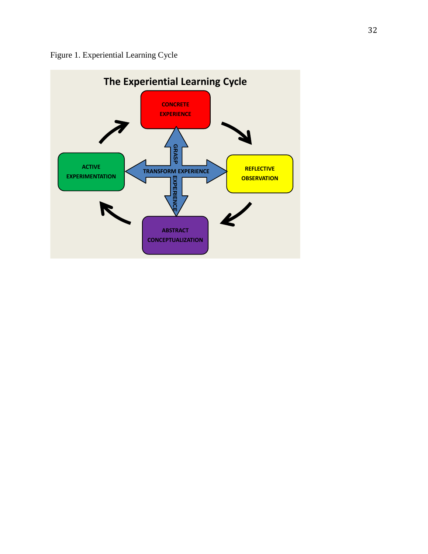

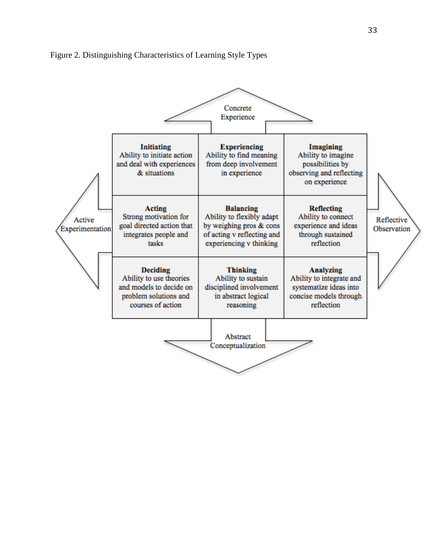

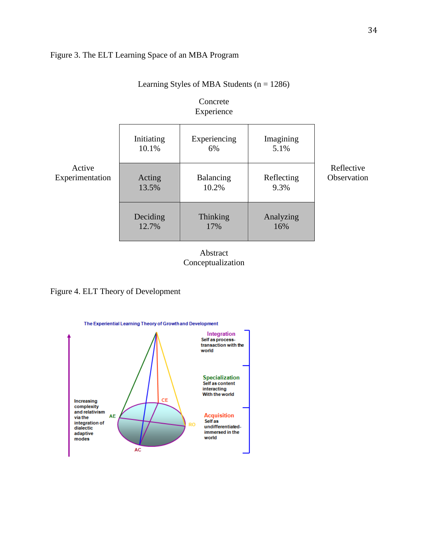# Figure 3. The ELT Learning Space of an MBA Program

|                           |                     | Concrete<br>Experience |                    |                           |
|---------------------------|---------------------|------------------------|--------------------|---------------------------|
| Active<br>Experimentation | Initiating<br>10.1% | Experiencing<br>6%     | Imagining<br>5.1%  | Reflective<br>Observation |
|                           | Acting<br>13.5%     | Balancing<br>10.2%     | Reflecting<br>9.3% |                           |
|                           | Deciding<br>12.7%   | <b>Thinking</b><br>17% | Analyzing<br>16%   |                           |

Learning Styles of MBA Students ( $n = 1286$ )

Abstract Conceptualization

## Figure 4. ELT Theory of Development

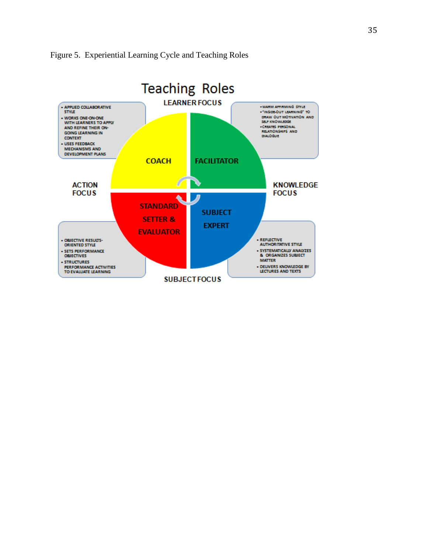

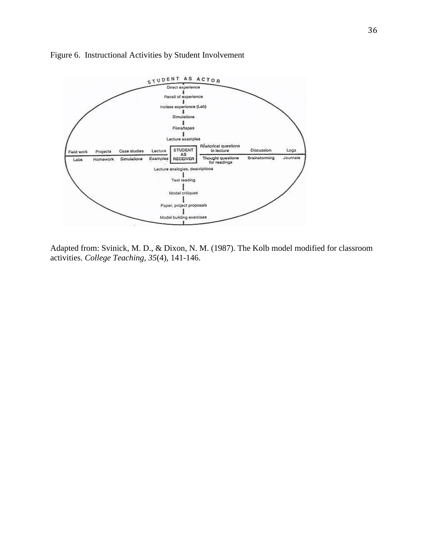

# Figure 6. Instructional Activities by Student Involvement

Adapted from: Svinick, M. D., & Dixon, N. M. (1987). The Kolb model modified for classroom activities. *College Teaching, 35*(4), 141-146.